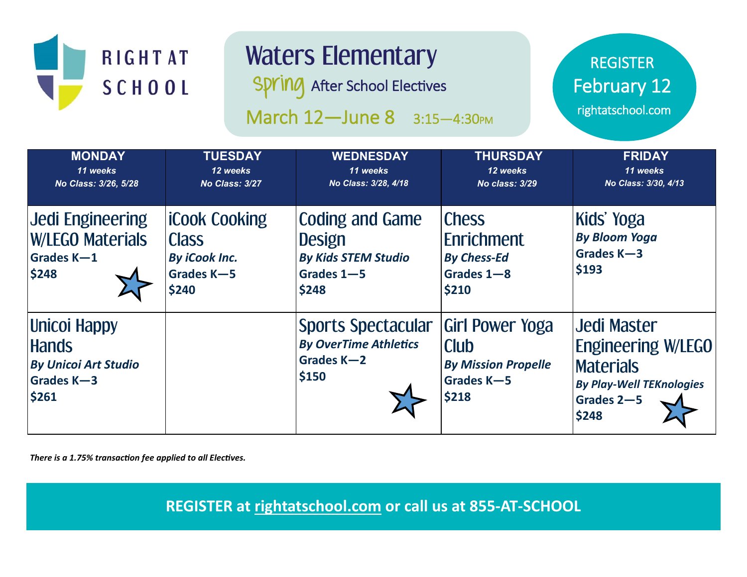

# Waters Elementary

**Spring** After School Electives

March 12-June 8 3:15-4:30PM

REGISTER February 12

rightatschool.com

| <b>MONDAY</b><br>11 weeks<br>No Class: 3/26, 5/28                                  | <b>TUESDAY</b><br>12 weeks<br>No Class: 3/27                                        | <b>WEDNESDAY</b><br>11 weeks<br>No Class: 3/28, 4/18                                         | <b>THURSDAY</b><br>12 weeks<br>No class: 3/29                                              | <b>FRIDAY</b><br>11 weeks<br>No Class: 3/30, 4/13                                                                             |
|------------------------------------------------------------------------------------|-------------------------------------------------------------------------------------|----------------------------------------------------------------------------------------------|--------------------------------------------------------------------------------------------|-------------------------------------------------------------------------------------------------------------------------------|
| <b>Jedi Engineering</b><br><b>W/LEGO Materials</b><br>Grades K-1<br>\$248          | <b>ICook Cooking</b><br><b>Class</b><br><b>By iCook Inc.</b><br>Grades K-5<br>\$240 | <b>Coding and Game</b><br><b>Design</b><br><b>By Kids STEM Studio</b><br>Grades 1-5<br>\$248 | <b>Chess</b><br>Enrichment<br><b>By Chess-Ed</b><br>Grades 1-8<br>\$210                    | Kids' Yoga<br><b>By Bloom Yoga</b><br>Grades K-3<br>\$193                                                                     |
| Unicoi Happy<br><b>Hands</b><br><b>By Unicoi Art Studio</b><br>Grades K-3<br>\$261 |                                                                                     | <b>Sports Spectacular</b><br><b>By OverTime Athletics</b><br>Grades K-2<br>\$150             | <b>Girl Power Yoga</b><br><b>Club</b><br><b>By Mission Propelle</b><br>Grades K-5<br>\$218 | <b>Jedi Master</b><br><b>Engineering W/LEGO</b><br><b>Materials</b><br><b>By Play-Well TEKnologies</b><br>Grades 2-5<br>\$248 |

*There is a 1.75% transaction fee applied to all Electives.*

**REGISTER at rightatschool.com or call us at 855-AT-SCHOOL**